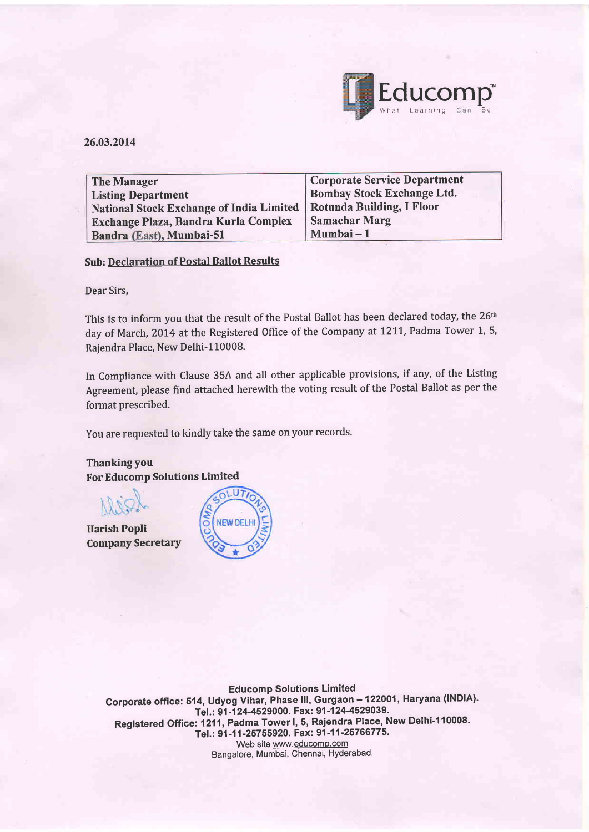

### 26.03.2014

| <b>The Manager</b>                              | Corporate Service Department      |
|-------------------------------------------------|-----------------------------------|
| <b>Listing Department</b>                       | <b>Bombay Stock Exchange Ltd.</b> |
| <b>National Stock Exchange of India Limited</b> | <b>Rotunda Building, I Floor</b>  |
| <b>Exchange Plaza, Bandra Kurla Complex</b>     | <b>Samachar Marg</b>              |
| Bandra (East), Mumbai-51                        | Mumbai – 1                        |

#### Sub: Declaration of Postal Ballot Results

Dear Sirs,

This is to inform you that the result of the Postal Ballot has been declared today, the 26<sup>th</sup> day of March, 2014 at the Registered Office of the Company at 1211, Padma Tower 1, 5, Rajendra Place, New Delhi-110008.

In Compliance with Clause 35A and all other applicable provisions, if any, of the Listing Agreement, please find attached herewith the voting result of the Postal Ballot as per the format prescribed.

You are requested to kindly take the same on your records.

**Thanking you** For Educomp Solutions Limited

Harish Popli Company Secretary



**Educomp Solutions Limited** Corporate office: 514, Udyog Vihar, Phase III, Gurgaon - 122001, Haryana (INDIA). Tel.: 91-124-4529000. Fax: 91-124-4529039. Registered office: 1211, Padma Tower l, 5, Rajendra f!199,\_N"\* Delhi-1 10008. - Tel.: 91-11-25755920. Fax: 91-11-25766775. Web site www.educomp.com Bangalore, Mumbai, Chennai, Hyderabad.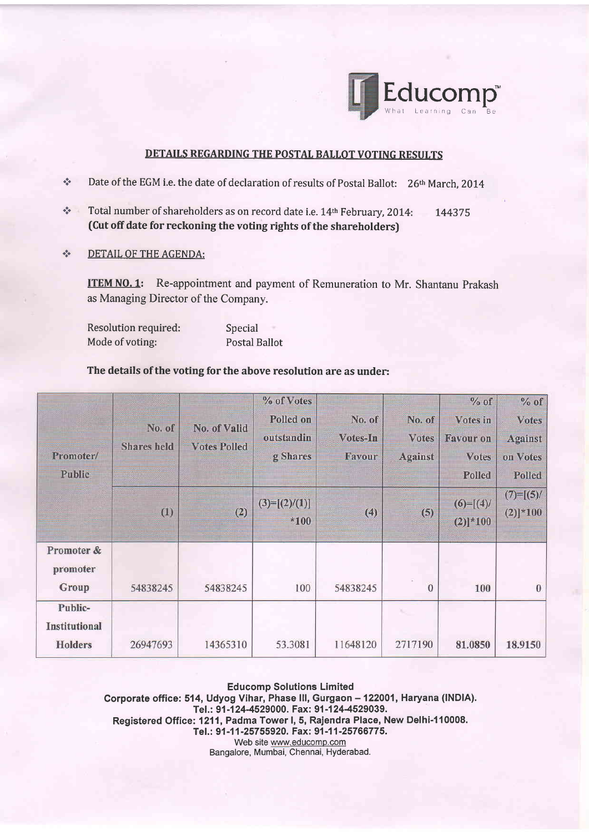

# DETAILS REGARDING THE POSTAL BALLOT VOTING RESULTS

- $\Phi_{\Phi}^{\Phi_{\Phi}}$ Date of the EGM i.e. the date of declaration of results of Postal Ballot: 26<sup>th</sup> March, 2014
- \* Total number of shareholders as on record date i.e. 14<sup>th</sup> February, 2014: 144375 (Cut off date for reckoning the voting rights of the shareholders)
- \* DETAIL OF THE AGENDA:

**ITEM NO. 1:** Re-appointment and payment of Remuneration to Mr. Shantanu Prakash as Managing Director of the Company.

| Resolution required: | Special              |
|----------------------|----------------------|
| Mode of voting:      | <b>Postal Ballot</b> |

## The details of the voting for the above resolution are as under:

| Promoter/<br><b>Public</b>                 | No. of<br><b>Shares</b> held | No. of Valid<br><b>Votes Polled</b> | % of Votes<br>Polled on<br>outstandin<br>g Shares | No. of<br>Votes-In<br>Favour | No. of<br><b>Votes</b><br><b>Against</b> | $%$ of<br>Votes in<br><b>Favour on</b><br><b>Votes</b><br>Polled | $%$ of<br><b>Votes</b><br><b>Against</b><br>on Votes<br>Polled |
|--------------------------------------------|------------------------------|-------------------------------------|---------------------------------------------------|------------------------------|------------------------------------------|------------------------------------------------------------------|----------------------------------------------------------------|
|                                            | (1)                          | (2)                                 | $(3)=[(2)/(1)]$<br>$*100$                         | (4)                          | (5)                                      | $(6)=[(4)$<br>$(2)]$ *100                                        | $(7)=[(5)/$<br>$(2)]*100$                                      |
| Promoter &<br>promoter<br>Group            | 54838245                     | 54838245                            | 100                                               | 54838245                     | $\mathbf{0}$                             | 100                                                              | $\theta$                                                       |
| Public-<br><b>Institutional</b><br>Holders | 26947693                     | 14365310                            | 53.3081                                           | 11648120                     | 2717190                                  | 81.0850                                                          | 18.9150                                                        |

Educomp Solutions Limited Corporate office: 514, Udyog Vihar, Phase III, Gurgaon - 122001, Haryana (INDIA). Tel.: 91-124-4529000. Fax: 91-124-4529039. Registered Office: 1211, Padma Tower I, 5, Rajendra Place, New Delhi-110008. Tel.: 91-11-25755920. Fax: 91-11-25766775. Web site www.educomp.com Bangalore, Mumbai, Chennai, Hyderabad.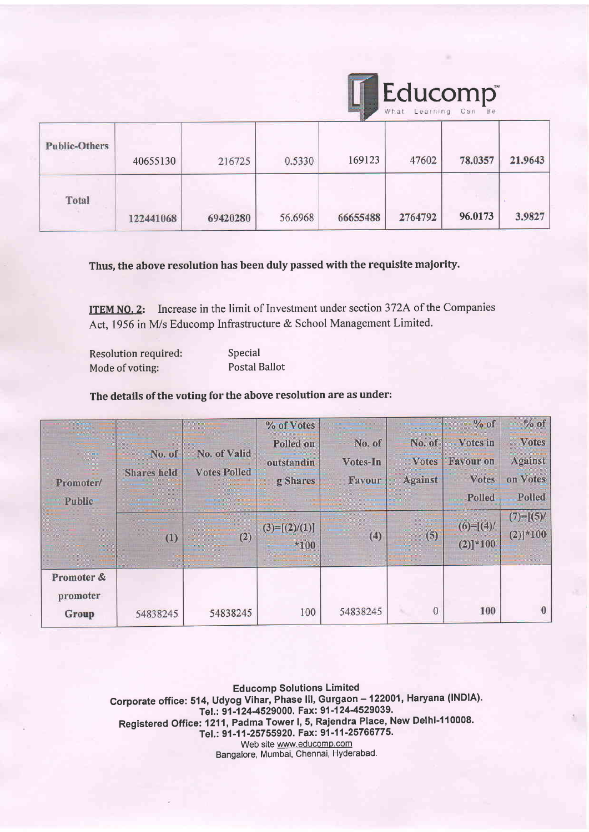|                      |           |          |         |          | Educomp <sup>*</sup><br>What | Learning Can Be |         |
|----------------------|-----------|----------|---------|----------|------------------------------|-----------------|---------|
| <b>Public-Others</b> | 40655130  | 216725   | 0.5330  | 169123   | 47602                        | 78.0357         | 21.9643 |
| Total                | 122441068 | 69420280 | 56.6968 | 66655488 | 2764792                      | 96.0173         | 3.9827  |

Thus, the above resolution has been duly passed with the requisite maiority.

ITEM NO. 2: Increase in the limit of Investment under section 372A of the Companies Act, 1956 in M/s Educomp Infrastructure & School Management Limited.

Resolution required: Mode of voting:

Special Postal Ballot

# The details of the voting for the above resolution are as under:

| Promoter/<br>Public             | No. of<br><b>Shares</b> held | No. of Valid<br><b>Votes Polled</b> | % of Votes<br>Polled on<br>outstandin<br>g Shares | No. of<br>Votes-In<br>Favour | No. of<br><b>Votes</b><br><b>Against</b> | $\%$ of<br>Votes in<br><b>Favour on</b><br><b>Votes</b><br>Polled | $%$ of<br><b>Votes</b><br><b>Against</b><br>on Votes<br>Polled |
|---------------------------------|------------------------------|-------------------------------------|---------------------------------------------------|------------------------------|------------------------------------------|-------------------------------------------------------------------|----------------------------------------------------------------|
|                                 | (1)                          | (2)                                 | $(3)=[(2)/(1)]$<br>$*100$                         | (4)                          | (5)                                      | $(6)=[(4)$<br>$(2)]$ * 100                                        | $(7) = [(5)$<br>$(2)]*100$                                     |
| Promoter &<br>promoter<br>Group | 54838245                     | 54838245                            | 100                                               | 54838245                     | $\mathbf{0}$                             | 100                                                               | $\bf{0}$                                                       |

Educomp Solutions Limited Corporate office: 514, Udyog Vihar, Phase III, Gurgaon - 122001, Haryana (INDIA). Tel.: 91-124-4529000. Fax: 91-124-4529039. Registered Office: 1211, Padma Tower I, 5, Rajendra Place, New Delhi-110008.<br>Care of the Art 1997, Care of The Oriental Art 25766775. Tel.: 91-11-25755920. Fax: 91-11-25766775. Web site www.educomp.com Bangalore, Mumbai, Chennai, Hyderabad.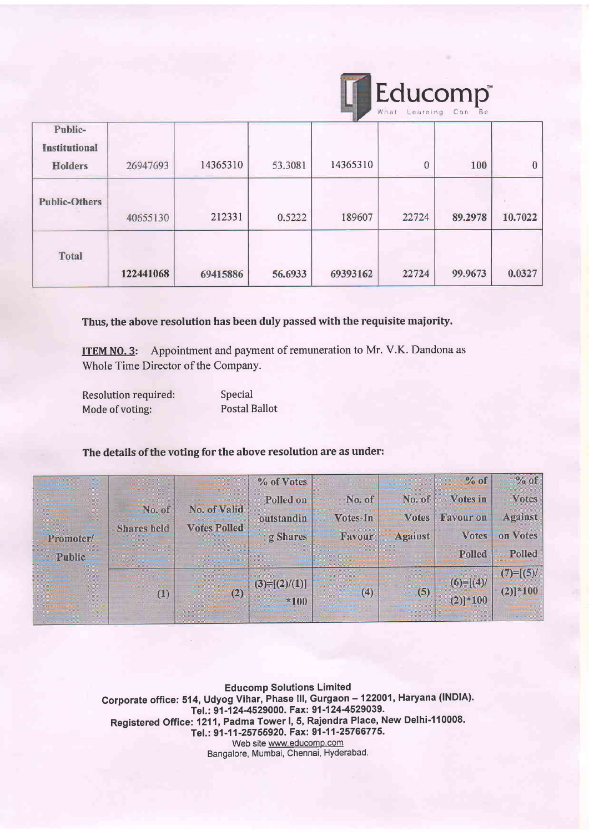|                                            |           |          |         |          | What     | Educomp®<br>Learning Can Be |          |
|--------------------------------------------|-----------|----------|---------|----------|----------|-----------------------------|----------|
| Public-<br><b>Institutional</b><br>Holders | 26947693  | 14365310 | 53.3081 | 14365310 | $\theta$ | 100                         | $\bf{0}$ |
| <b>Public-Others</b>                       | 40655130  | 212331   | 0.5222  | 189607   | 22724    | 89.2978                     | 10.7022  |
| <b>Total</b>                               | 122441068 | 69415886 | 56.6933 | 69393162 | 22724    | 99.9673                     | 0.0327   |

Thus, the above resolution has been duly passed with the requisite maiority.

ITEM NO. 3: Appointment and payment of remuneration to Mr. V.K. Dandona as Whole Time Director of the Company.

| <b>Resolution required:</b> | Special       |
|-----------------------------|---------------|
| Mode of voting:             | Postal Ballot |

# The details of the voting for the above resolution are as under:

| Promoter/<br>Public | No. of<br><b>Shares</b> held | No. of Valid<br><b>Votes Polled</b> | % of Votes<br>Polled on<br>outstandin<br>g Shares | No. of<br>Votes-In<br>Favour | No. of<br><b>Votes</b><br><b>Against</b> | % of<br>Votes in<br><b>Favour on</b><br><b>Votes</b><br>Polled | $%$ of<br><b>Votes</b><br><b>Against</b><br>on Votes<br>Polled |
|---------------------|------------------------------|-------------------------------------|---------------------------------------------------|------------------------------|------------------------------------------|----------------------------------------------------------------|----------------------------------------------------------------|
|                     | (1)                          | (2)                                 | $(3)=[(2)/(1)]$<br>$*100$                         | (4)                          | (5)                                      | $(6)=[(4)$<br>$(2)$ <sup>*100</sup>                            | $(7)=[(5)/$<br>$(2)]*100$                                      |

Educomp Solutions Limited Corporate office: 514, Udyog Vihar, Phase III, Gurgaon - 122001, Haryana (INDIA). Tel.: 91-124-4529000. Fax: 91-124-4529039. Registered Office: 1211, Padma Tower I, 5, Rajendra Place, New Delhi-110008. Tel.: 91-11-25755920. Fax: 91-11-25766775. Web site www.educomp.com Bangalore, Mumbai, Chennai, Hyderabad.